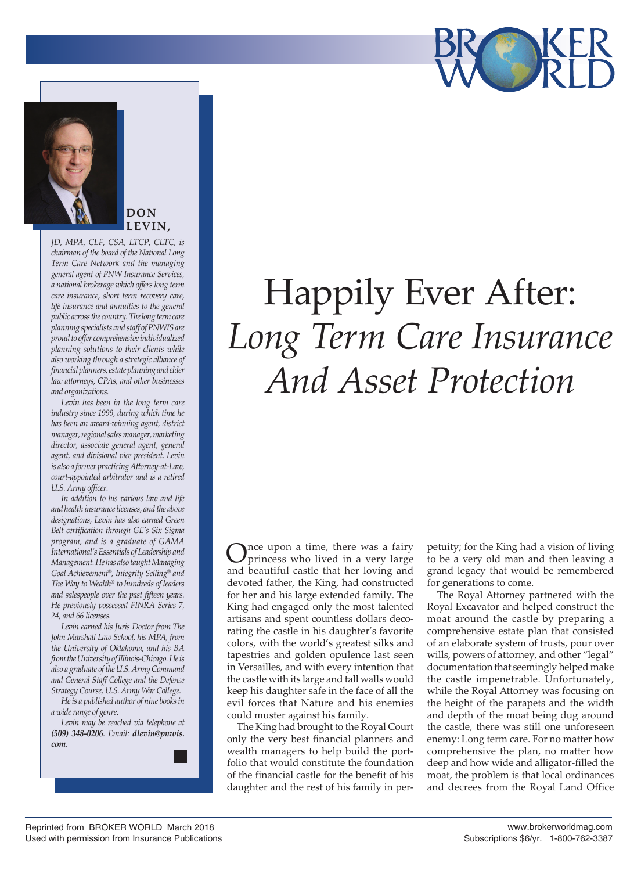



**DON LEVIN,**

*JD, MPA, CLF, CSA, LTCP, CLTC, is chairman of the board of the National Long Term Care Network and the managing general agent of PNW Insurance Services, a national brokerage which offers long term care insurance, short term recovery care, life insurance and annuities to the general public across the country. The long term care planning specialists and staff of PNWIS are proud to offer comprehensive individualized planning solutions to their clients while also working through a strategic alliance of financial planners, estate planning and elder law attorneys, CPAs, and other businesses and organizations.* 

*Levin has been in the long term care industry since 1999, during which time he has been an award-winning agent, district manager, regional sales manager, marketing director, associate general agent, general agent, and divisional vice president. Levin is also a former practicing Attorney-at-Law, court-appointed arbitrator and is a retired U.S. Army officer.*

*In addition to his various law and life and health insurance licenses, and the above designations, Levin has also earned Green Belt certification through GE's Six Sigma program, and is a graduate of GAMA International's Essentials of Leadership and Management. He has also taught Managing Goal Achievement®, Integrity Selling® and The Way to Wealth® to hundreds of leaders and salespeople over the past fifteen years. He previously possessed FINRA Series 7, 24, and 66 licenses.*

*Levin earned his Juris Doctor from The John Marshall Law School, his MPA, from the University of Oklahoma, and his BA from the University of Illinois-Chicago. He is also a graduate of the U.S. Army Command and General Staff College and the Defense Strategy Course, U.S. Army War College.* 

*He is a published author of nine books in a wide range of genre.*

*Levin may be reached via telephone at (509) 348-0206. Email: dlevin@pnwis. com.*

## Happily Ever After: *Long Term Care Insurance And Asset Protection*

nce upon a time, there was a fairy princess who lived in a very large and beautiful castle that her loving and devoted father, the King, had constructed for her and his large extended family. The King had engaged only the most talented artisans and spent countless dollars decorating the castle in his daughter's favorite colors, with the world's greatest silks and tapestries and golden opulence last seen in Versailles, and with every intention that the castle with its large and tall walls would keep his daughter safe in the face of all the evil forces that Nature and his enemies could muster against his family.

The King had brought to the Royal Court only the very best financial planners and wealth managers to help build the portfolio that would constitute the foundation of the financial castle for the benefit of his daughter and the rest of his family in perpetuity; for the King had a vision of living to be a very old man and then leaving a grand legacy that would be remembered for generations to come.

The Royal Attorney partnered with the Royal Excavator and helped construct the moat around the castle by preparing a comprehensive estate plan that consisted of an elaborate system of trusts, pour over wills, powers of attorney, and other "legal" documentation that seemingly helped make the castle impenetrable. Unfortunately, while the Royal Attorney was focusing on the height of the parapets and the width and depth of the moat being dug around the castle, there was still one unforeseen enemy: Long term care. For no matter how comprehensive the plan, no matter how deep and how wide and alligator-filled the moat, the problem is that local ordinances and decrees from the Royal Land Office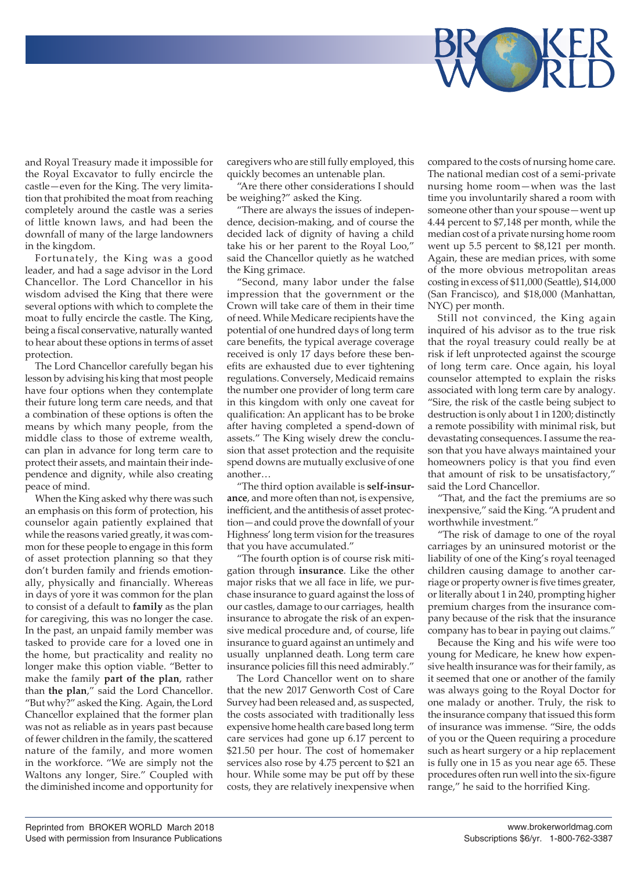

and Royal Treasury made it impossible for the Royal Excavator to fully encircle the castle—even for the King. The very limitation that prohibited the moat from reaching completely around the castle was a series of little known laws, and had been the downfall of many of the large landowners in the kingdom.

Fortunately, the King was a good leader, and had a sage advisor in the Lord Chancellor. The Lord Chancellor in his wisdom advised the King that there were several options with which to complete the moat to fully encircle the castle. The King, being a fiscal conservative, naturally wanted to hear about these options in terms of asset protection.

The Lord Chancellor carefully began his lesson by advising his king that most people have four options when they contemplate their future long term care needs, and that a combination of these options is often the means by which many people, from the middle class to those of extreme wealth, can plan in advance for long term care to protect their assets, and maintain their independence and dignity, while also creating peace of mind.

When the King asked why there was such an emphasis on this form of protection, his counselor again patiently explained that while the reasons varied greatly, it was common for these people to engage in this form of asset protection planning so that they don't burden family and friends emotionally, physically and financially. Whereas in days of yore it was common for the plan to consist of a default to **family** as the plan for caregiving, this was no longer the case. In the past, an unpaid family member was tasked to provide care for a loved one in the home, but practicality and reality no longer make this option viable. "Better to make the family **part of the plan**, rather than **the plan**," said the Lord Chancellor. "But why?" asked the King. Again, the Lord Chancellor explained that the former plan was not as reliable as in years past because of fewer children in the family, the scattered nature of the family, and more women in the workforce. "We are simply not the Waltons any longer, Sire." Coupled with the diminished income and opportunity for caregivers who are still fully employed, this quickly becomes an untenable plan.

"Are there other considerations I should be weighing?" asked the King.

"There are always the issues of independence, decision-making, and of course the decided lack of dignity of having a child take his or her parent to the Royal Loo," said the Chancellor quietly as he watched the King grimace.

"Second, many labor under the false impression that the government or the Crown will take care of them in their time of need. While Medicare recipients have the potential of one hundred days of long term care benefits, the typical average coverage received is only 17 days before these benefits are exhausted due to ever tightening regulations. Conversely, Medicaid remains the number one provider of long term care in this kingdom with only one caveat for qualification: An applicant has to be broke after having completed a spend-down of assets." The King wisely drew the conclusion that asset protection and the requisite spend downs are mutually exclusive of one another…

"The third option available is **self-insurance**, and more often than not, is expensive, inefficient, and the antithesis of asset protection—and could prove the downfall of your Highness' long term vision for the treasures that you have accumulated."

"The fourth option is of course risk mitigation through **insurance**. Like the other major risks that we all face in life, we purchase insurance to guard against the loss of our castles, damage to our carriages, health insurance to abrogate the risk of an expensive medical procedure and, of course, life insurance to guard against an untimely and usually unplanned death. Long term care insurance policies fill this need admirably."

The Lord Chancellor went on to share that the new 2017 Genworth Cost of Care Survey had been released and, as suspected, the costs associated with traditionally less expensive home health care based long term care services had gone up 6.17 percent to \$21.50 per hour. The cost of homemaker services also rose by 4.75 percent to \$21 an hour. While some may be put off by these costs, they are relatively inexpensive when

compared to the costs of nursing home care. The national median cost of a semi-private nursing home room—when was the last time you involuntarily shared a room with someone other than your spouse—went up 4.44 percent to \$7,148 per month, while the median cost of a private nursing home room went up 5.5 percent to \$8,121 per month. Again, these are median prices, with some of the more obvious metropolitan areas costing in excess of \$11,000 (Seattle), \$14,000 (San Francisco), and \$18,000 (Manhattan, NYC) per month.

Still not convinced, the King again inquired of his advisor as to the true risk that the royal treasury could really be at risk if left unprotected against the scourge of long term care. Once again, his loyal counselor attempted to explain the risks associated with long term care by analogy. "Sire, the risk of the castle being subject to destruction is only about 1 in 1200; distinctly a remote possibility with minimal risk, but devastating consequences. I assume the reason that you have always maintained your homeowners policy is that you find even that amount of risk to be unsatisfactory," said the Lord Chancellor.

"That, and the fact the premiums are so inexpensive," said the King. "A prudent and worthwhile investment."

"The risk of damage to one of the royal carriages by an uninsured motorist or the liability of one of the King's royal teenaged children causing damage to another carriage or property owner is five times greater, or literally about 1 in 240, prompting higher premium charges from the insurance company because of the risk that the insurance company has to bear in paying out claims."

Because the King and his wife were too young for Medicare, he knew how expensive health insurance was for their family, as it seemed that one or another of the family was always going to the Royal Doctor for one malady or another. Truly, the risk to the insurance company that issued this form of insurance was immense. "Sire, the odds of you or the Queen requiring a procedure such as heart surgery or a hip replacement is fully one in 15 as you near age 65. These procedures often run well into the six-figure range," he said to the horrified King.